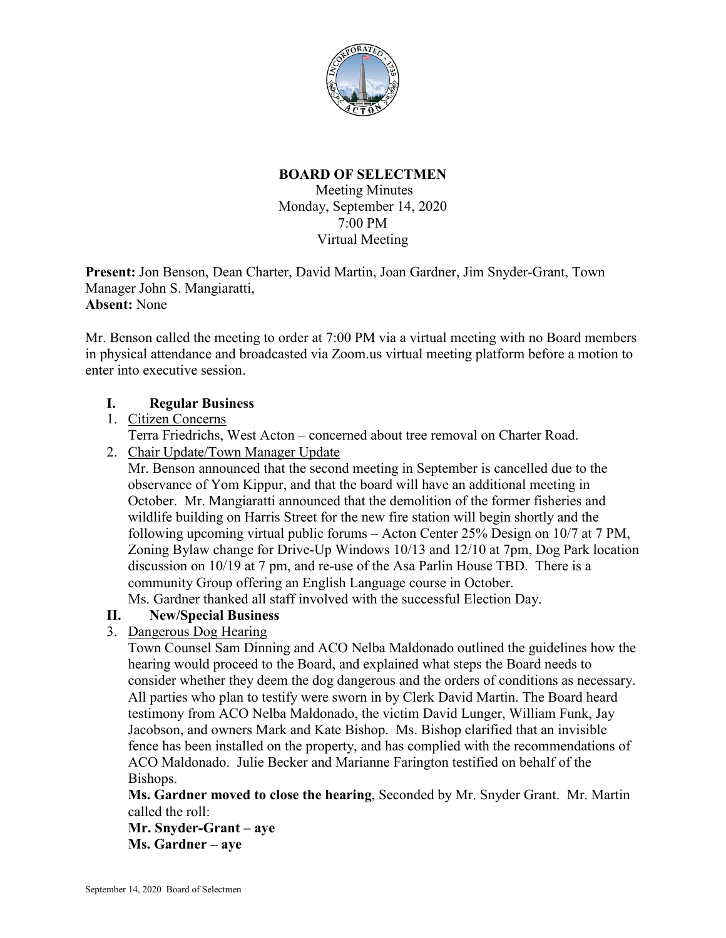

# **BOARD OF SELECTMEN**

Meeting Minutes Monday, September 14, 2020 7:00 PM Virtual Meeting

**Present:** Jon Benson, Dean Charter, David Martin, Joan Gardner, Jim Snyder-Grant, Town Manager John S. Mangiaratti, **Absent:** None

Mr. Benson called the meeting to order at 7:00 PM via a virtual meeting with no Board members in physical attendance and broadcasted via Zoom.us virtual meeting platform before a motion to enter into executive session.

## **I. Regular Business**

## 1. Citizen Concerns

Terra Friedrichs, West Acton – concerned about tree removal on Charter Road.

2. Chair Update/Town Manager Update

Mr. Benson announced that the second meeting in September is cancelled due to the observance of Yom Kippur, and that the board will have an additional meeting in October. Mr. Mangiaratti announced that the demolition of the former fisheries and wildlife building on Harris Street for the new fire station will begin shortly and the following upcoming virtual public forums – Acton Center 25% Design on 10/7 at 7 PM, Zoning Bylaw change for Drive-Up Windows 10/13 and 12/10 at 7pm, Dog Park location discussion on 10/19 at 7 pm, and re-use of the Asa Parlin House TBD. There is a community Group offering an English Language course in October.

Ms. Gardner thanked all staff involved with the successful Election Day.

## **II. New/Special Business**

# 3. Dangerous Dog Hearing

Town Counsel Sam Dinning and ACO Nelba Maldonado outlined the guidelines how the hearing would proceed to the Board, and explained what steps the Board needs to consider whether they deem the dog dangerous and the orders of conditions as necessary. All parties who plan to testify were sworn in by Clerk David Martin. The Board heard testimony from ACO Nelba Maldonado, the victim David Lunger, William Funk, Jay Jacobson, and owners Mark and Kate Bishop. Ms. Bishop clarified that an invisible fence has been installed on the property, and has complied with the recommendations of ACO Maldonado. Julie Becker and Marianne Farington testified on behalf of the Bishops.

**Ms. Gardner moved to close the hearing**, Seconded by Mr. Snyder Grant. Mr. Martin called the roll:

**Mr. Snyder-Grant – aye Ms. Gardner – aye**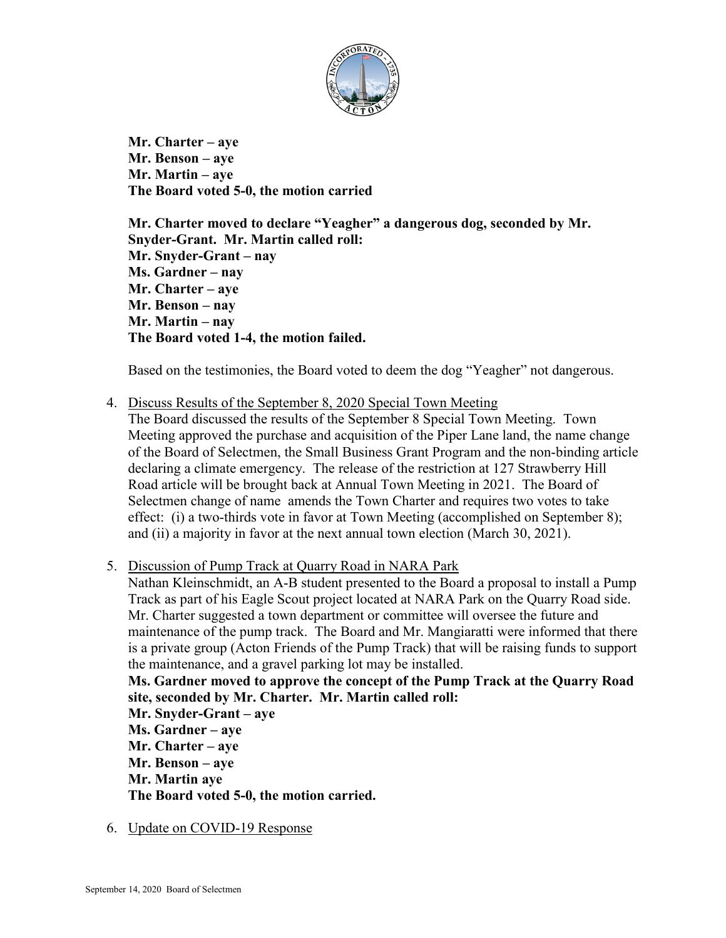

**Mr. Charter – aye Mr. Benson – aye Mr. Martin – aye The Board voted 5-0, the motion carried**

**Mr. Charter moved to declare "Yeagher" a dangerous dog, seconded by Mr. Snyder-Grant. Mr. Martin called roll: Mr. Snyder-Grant – nay Ms. Gardner – nay Mr. Charter – aye Mr. Benson – nay Mr. Martin – nay The Board voted 1-4, the motion failed.**

Based on the testimonies, the Board voted to deem the dog "Yeagher" not dangerous.

4. Discuss Results of the September 8, 2020 Special Town Meeting

The Board discussed the results of the September 8 Special Town Meeting. Town Meeting approved the purchase and acquisition of the Piper Lane land, the name change of the Board of Selectmen, the Small Business Grant Program and the non-binding article declaring a climate emergency. The release of the restriction at 127 Strawberry Hill Road article will be brought back at Annual Town Meeting in 2021. The Board of Selectmen change of name amends the Town Charter and requires two votes to take effect: (i) a two-thirds vote in favor at Town Meeting (accomplished on September 8); and (ii) a majority in favor at the next annual town election (March 30, 2021).

5. Discussion of Pump Track at Quarry Road in NARA Park

Nathan Kleinschmidt, an A-B student presented to the Board a proposal to install a Pump Track as part of his Eagle Scout project located at NARA Park on the Quarry Road side. Mr. Charter suggested a town department or committee will oversee the future and maintenance of the pump track. The Board and Mr. Mangiaratti were informed that there is a private group (Acton Friends of the Pump Track) that will be raising funds to support the maintenance, and a gravel parking lot may be installed.

**Ms. Gardner moved to approve the concept of the Pump Track at the Quarry Road site, seconded by Mr. Charter. Mr. Martin called roll:**

**Mr. Snyder-Grant – aye Ms. Gardner – aye Mr. Charter – aye Mr. Benson – aye Mr. Martin aye The Board voted 5-0, the motion carried.**

6. Update on COVID-19 Response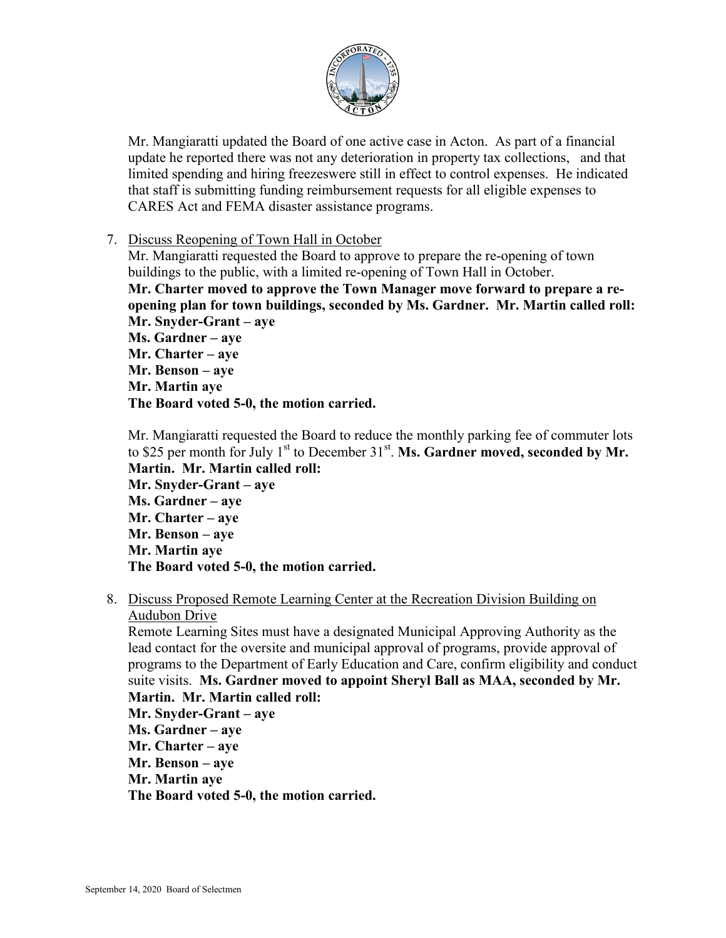

Mr. Mangiaratti updated the Board of one active case in Acton. As part of a financial update he reported there was not any deterioration in property tax collections, and that limited spending and hiring freezeswere still in effect to control expenses. He indicated that staff is submitting funding reimbursement requests for all eligible expenses to CARES Act and FEMA disaster assistance programs.

7. Discuss Reopening of Town Hall in October

Mr. Mangiaratti requested the Board to approve to prepare the re-opening of town buildings to the public, with a limited re-opening of Town Hall in October. **Mr. Charter moved to approve the Town Manager move forward to prepare a reopening plan for town buildings, seconded by Ms. Gardner. Mr. Martin called roll: Mr. Snyder-Grant – aye Ms. Gardner – aye Mr. Charter – aye Mr. Benson – aye**

**Mr. Martin aye**

**The Board voted 5-0, the motion carried.**

Mr. Mangiaratti requested the Board to reduce the monthly parking fee of commuter lots to \$25 per month for July 1<sup>st</sup> to December 31<sup>st</sup>. Ms. Gardner moved, seconded by Mr. **Martin. Mr. Martin called roll: Mr. Snyder-Grant – aye Ms. Gardner – aye Mr. Charter – aye Mr. Benson – aye Mr. Martin aye The Board voted 5-0, the motion carried.**

8. Discuss Proposed Remote Learning Center at the Recreation Division Building on Audubon Drive

Remote Learning Sites must have a designated Municipal Approving Authority as the lead contact for the oversite and municipal approval of programs, provide approval of programs to the Department of Early Education and Care, confirm eligibility and conduct suite visits. **Ms. Gardner moved to appoint Sheryl Ball as MAA, seconded by Mr. Martin. Mr. Martin called roll:**

**Mr. Snyder-Grant – aye Ms. Gardner – aye Mr. Charter – aye Mr. Benson – aye Mr. Martin aye The Board voted 5-0, the motion carried.**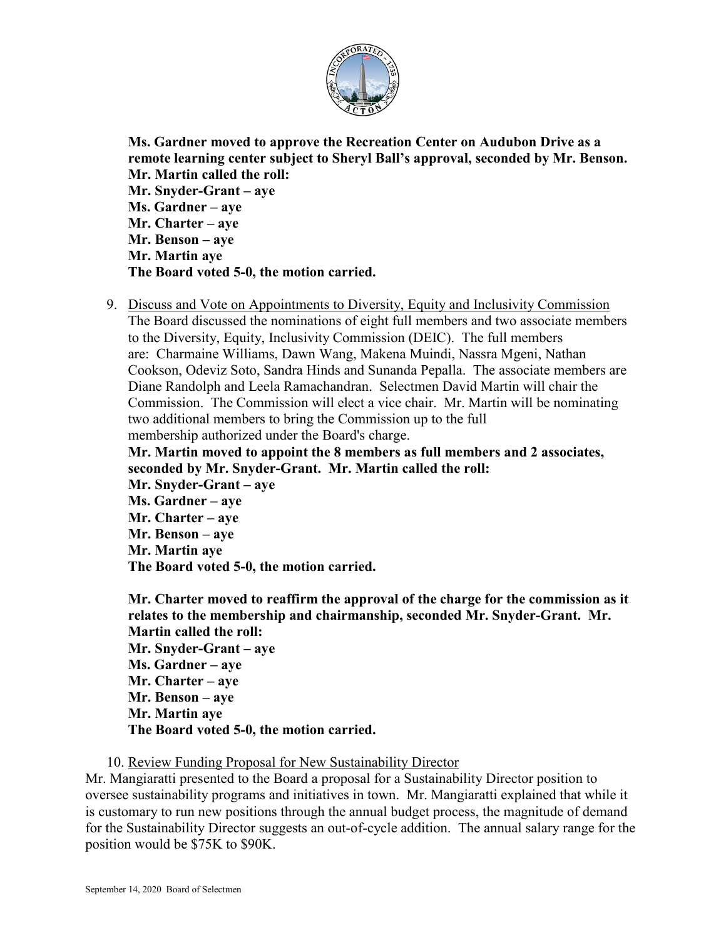

**Ms. Gardner moved to approve the Recreation Center on Audubon Drive as a remote learning center subject to Sheryl Ball's approval, seconded by Mr. Benson. Mr. Martin called the roll: Mr. Snyder-Grant – aye Ms. Gardner – aye Mr. Charter – aye Mr. Benson – aye Mr. Martin aye The Board voted 5-0, the motion carried.**

9. Discuss and Vote on Appointments to Diversity, Equity and Inclusivity Commission The Board discussed the nominations of eight full members and two associate members to the Diversity, Equity, Inclusivity Commission (DEIC). The full members are: Charmaine Williams, Dawn Wang, Makena Muindi, Nassra Mgeni, Nathan Cookson, Odeviz Soto, Sandra Hinds and Sunanda Pepalla. The associate members are Diane Randolph and Leela Ramachandran. Selectmen David Martin will chair the Commission. The Commission will elect a vice chair. Mr. Martin will be nominating two additional members to bring the Commission up to the full membership authorized under the Board's charge.

**Mr. Martin moved to appoint the 8 members as full members and 2 associates, seconded by Mr. Snyder-Grant. Mr. Martin called the roll:**

**Mr. Snyder-Grant – aye Ms. Gardner – aye Mr. Charter – aye Mr. Benson – aye Mr. Martin aye The Board voted 5-0, the motion carried.**

**Mr. Charter moved to reaffirm the approval of the charge for the commission as it relates to the membership and chairmanship, seconded Mr. Snyder-Grant. Mr. Martin called the roll: Mr. Snyder-Grant – aye Ms. Gardner – aye Mr. Charter – aye Mr. Benson – aye Mr. Martin aye The Board voted 5-0, the motion carried.**

10. Review Funding Proposal for New Sustainability Director

Mr. Mangiaratti presented to the Board a proposal for a Sustainability Director position to oversee sustainability programs and initiatives in town. Mr. Mangiaratti explained that while it is customary to run new positions through the annual budget process, the magnitude of demand for the Sustainability Director suggests an out-of-cycle addition. The annual salary range for the position would be \$75K to \$90K.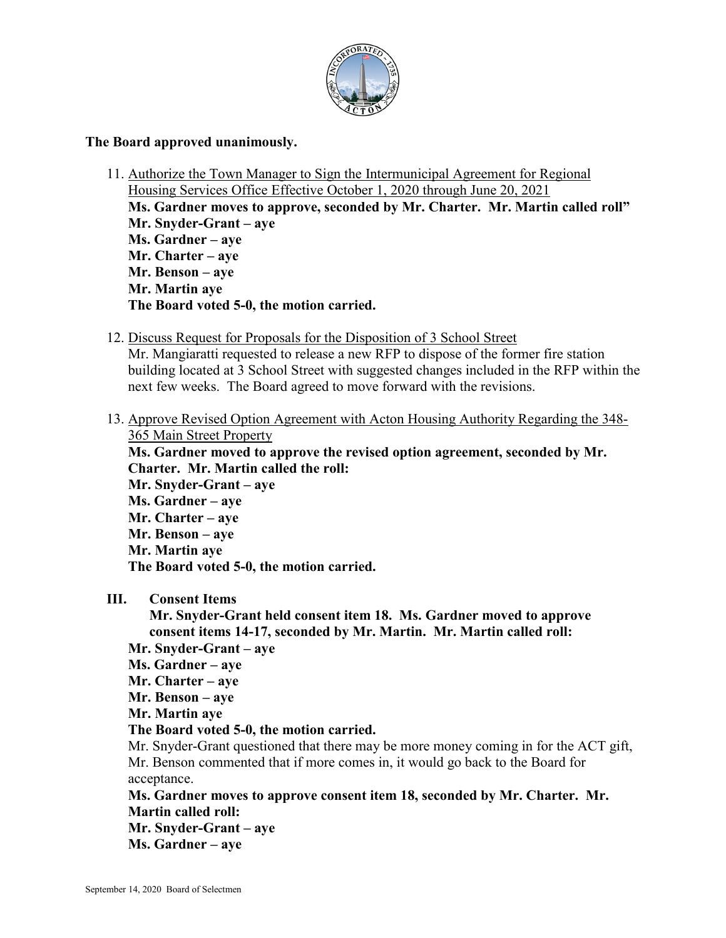

#### **The Board approved unanimously.**

- 11. Authorize the Town Manager to Sign the Intermunicipal Agreement for Regional Housing Services Office Effective October 1, 2020 through June 20, 2021 **Ms. Gardner moves to approve, seconded by Mr. Charter. Mr. Martin called roll" Mr. Snyder-Grant – aye Ms. Gardner – aye Mr. Charter – aye Mr. Benson – aye Mr. Martin aye The Board voted 5-0, the motion carried.**
- 12. Discuss Request for Proposals for the Disposition of 3 School Street

Mr. Mangiaratti requested to release a new RFP to dispose of the former fire station building located at 3 School Street with suggested changes included in the RFP within the next few weeks. The Board agreed to move forward with the revisions.

13. Approve Revised Option Agreement with Acton Housing Authority Regarding the 348- 365 Main Street Property

**Ms. Gardner moved to approve the revised option agreement, seconded by Mr. Charter. Mr. Martin called the roll: Mr. Snyder-Grant – aye**

**Ms. Gardner – aye Mr. Charter – aye Mr. Benson – aye Mr. Martin aye The Board voted 5-0, the motion carried.**

#### **III. Consent Items**

**Mr. Snyder-Grant held consent item 18. Ms. Gardner moved to approve consent items 14-17, seconded by Mr. Martin. Mr. Martin called roll:**

- **Mr. Snyder-Grant – aye**
- **Ms. Gardner – aye**
- **Mr. Charter – aye**
- **Mr. Benson – aye**
- **Mr. Martin aye**
- **The Board voted 5-0, the motion carried.**

Mr. Snyder-Grant questioned that there may be more money coming in for the ACT gift, Mr. Benson commented that if more comes in, it would go back to the Board for acceptance.

**Ms. Gardner moves to approve consent item 18, seconded by Mr. Charter. Mr. Martin called roll: Mr. Snyder-Grant – aye**

**Ms. Gardner – aye**